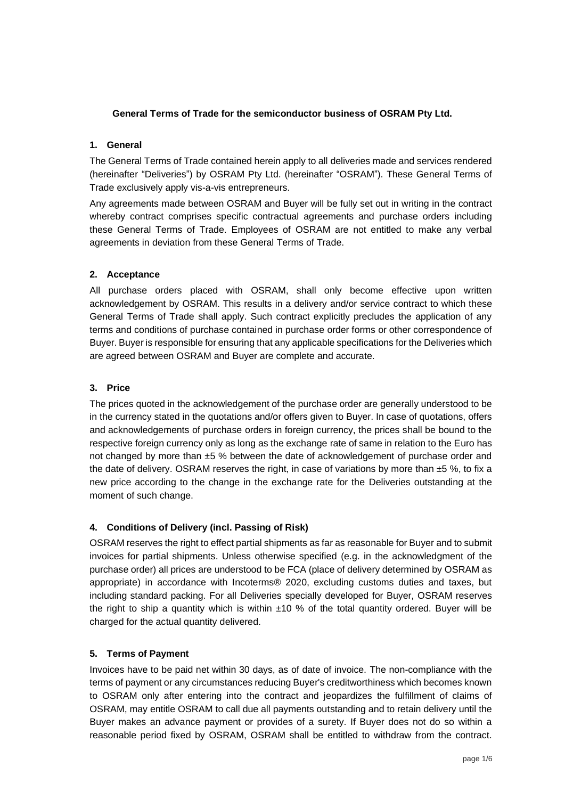### **General Terms of Trade for the semiconductor business of OSRAM Pty Ltd.**

### **1. General**

The General Terms of Trade contained herein apply to all deliveries made and services rendered (hereinafter "Deliveries") by OSRAM Pty Ltd. (hereinafter "OSRAM"). These General Terms of Trade exclusively apply vis-a-vis entrepreneurs.

Any agreements made between OSRAM and Buyer will be fully set out in writing in the contract whereby contract comprises specific contractual agreements and purchase orders including these General Terms of Trade. Employees of OSRAM are not entitled to make any verbal agreements in deviation from these General Terms of Trade.

### **2. Acceptance**

All purchase orders placed with OSRAM, shall only become effective upon written acknowledgement by OSRAM. This results in a delivery and/or service contract to which these General Terms of Trade shall apply. Such contract explicitly precludes the application of any terms and conditions of purchase contained in purchase order forms or other correspondence of Buyer. Buyer is responsible for ensuring that any applicable specifications for the Deliveries which are agreed between OSRAM and Buyer are complete and accurate.

### **3. Price**

The prices quoted in the acknowledgement of the purchase order are generally understood to be in the currency stated in the quotations and/or offers given to Buyer. In case of quotations, offers and acknowledgements of purchase orders in foreign currency, the prices shall be bound to the respective foreign currency only as long as the exchange rate of same in relation to the Euro has not changed by more than ±5 % between the date of acknowledgement of purchase order and the date of delivery. OSRAM reserves the right, in case of variations by more than  $±5$  %, to fix a new price according to the change in the exchange rate for the Deliveries outstanding at the moment of such change.

# **4. Conditions of Delivery (incl. Passing of Risk)**

OSRAM reserves the right to effect partial shipments as far as reasonable for Buyer and to submit invoices for partial shipments. Unless otherwise specified (e.g. in the acknowledgment of the purchase order) all prices are understood to be FCA (place of delivery determined by OSRAM as appropriate) in accordance with Incoterms® 2020, excluding customs duties and taxes, but including standard packing. For all Deliveries specially developed for Buyer, OSRAM reserves the right to ship a quantity which is within  $\pm 10$  % of the total quantity ordered. Buyer will be charged for the actual quantity delivered.

#### **5. Terms of Payment**

Invoices have to be paid net within 30 days, as of date of invoice. The non-compliance with the terms of payment or any circumstances reducing Buyer's creditworthiness which becomes known to OSRAM only after entering into the contract and jeopardizes the fulfillment of claims of OSRAM, may entitle OSRAM to call due all payments outstanding and to retain delivery until the Buyer makes an advance payment or provides of a surety. If Buyer does not do so within a reasonable period fixed by OSRAM, OSRAM shall be entitled to withdraw from the contract.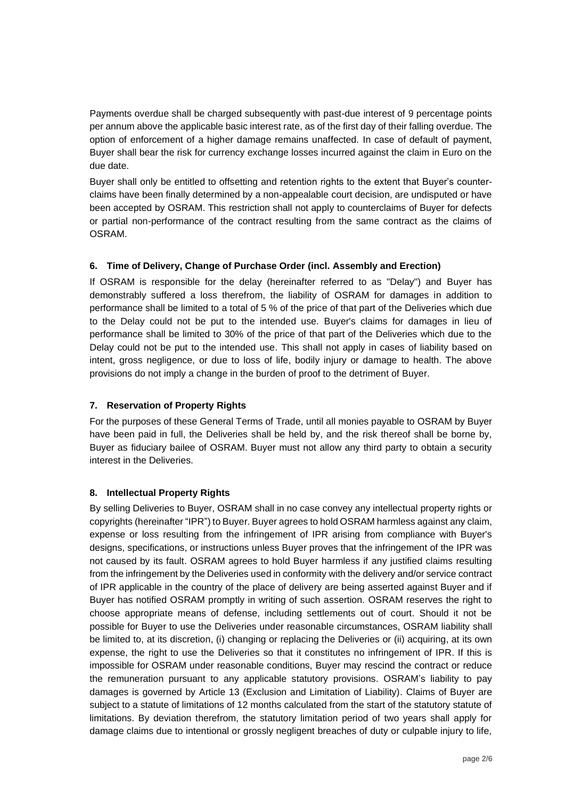Payments overdue shall be charged subsequently with past-due interest of 9 percentage points per annum above the applicable basic interest rate, as of the first day of their falling overdue. The option of enforcement of a higher damage remains unaffected. In case of default of payment, Buyer shall bear the risk for currency exchange losses incurred against the claim in Euro on the due date.

Buyer shall only be entitled to offsetting and retention rights to the extent that Buyer's counterclaims have been finally determined by a non-appealable court decision, are undisputed or have been accepted by OSRAM. This restriction shall not apply to counterclaims of Buyer for defects or partial non-performance of the contract resulting from the same contract as the claims of OSRAM.

### **6. Time of Delivery, Change of Purchase Order (incl. Assembly and Erection)**

If OSRAM is responsible for the delay (hereinafter referred to as "Delay") and Buyer has demonstrably suffered a loss therefrom, the liability of OSRAM for damages in addition to performance shall be limited to a total of 5 % of the price of that part of the Deliveries which due to the Delay could not be put to the intended use. Buyer's claims for damages in lieu of performance shall be limited to 30% of the price of that part of the Deliveries which due to the Delay could not be put to the intended use. This shall not apply in cases of liability based on intent, gross negligence, or due to loss of life, bodily injury or damage to health. The above provisions do not imply a change in the burden of proof to the detriment of Buyer.

### **7. Reservation of Property Rights**

For the purposes of these General Terms of Trade, until all monies payable to OSRAM by Buyer have been paid in full, the Deliveries shall be held by, and the risk thereof shall be borne by, Buyer as fiduciary bailee of OSRAM. Buyer must not allow any third party to obtain a security interest in the Deliveries.

#### **8. Intellectual Property Rights**

By selling Deliveries to Buyer, OSRAM shall in no case convey any intellectual property rights or copyrights (hereinafter "IPR") to Buyer. Buyer agrees to hold OSRAM harmless against any claim, expense or loss resulting from the infringement of IPR arising from compliance with Buyer's designs, specifications, or instructions unless Buyer proves that the infringement of the IPR was not caused by its fault. OSRAM agrees to hold Buyer harmless if any justified claims resulting from the infringement by the Deliveries used in conformity with the delivery and/or service contract of IPR applicable in the country of the place of delivery are being asserted against Buyer and if Buyer has notified OSRAM promptly in writing of such assertion. OSRAM reserves the right to choose appropriate means of defense, including settlements out of court. Should it not be possible for Buyer to use the Deliveries under reasonable circumstances, OSRAM liability shall be limited to, at its discretion, (i) changing or replacing the Deliveries or (ii) acquiring, at its own expense, the right to use the Deliveries so that it constitutes no infringement of IPR. If this is impossible for OSRAM under reasonable conditions, Buyer may rescind the contract or reduce the remuneration pursuant to any applicable statutory provisions. OSRAM's liability to pay damages is governed by Article 13 (Exclusion and Limitation of Liability). Claims of Buyer are subject to a statute of limitations of 12 months calculated from the start of the statutory statute of limitations. By deviation therefrom, the statutory limitation period of two years shall apply for damage claims due to intentional or grossly negligent breaches of duty or culpable injury to life,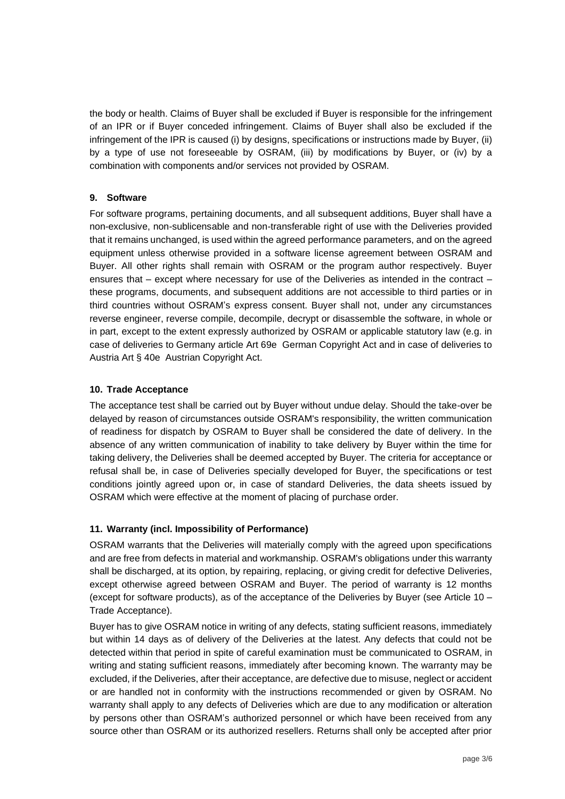the body or health. Claims of Buyer shall be excluded if Buyer is responsible for the infringement of an IPR or if Buyer conceded infringement. Claims of Buyer shall also be excluded if the infringement of the IPR is caused (i) by designs, specifications or instructions made by Buyer, (ii) by a type of use not foreseeable by OSRAM, (iii) by modifications by Buyer, or (iv) by a combination with components and/or services not provided by OSRAM.

### **9. Software**

For software programs, pertaining documents, and all subsequent additions, Buyer shall have a non-exclusive, non-sublicensable and non-transferable right of use with the Deliveries provided that it remains unchanged, is used within the agreed performance parameters, and on the agreed equipment unless otherwise provided in a software license agreement between OSRAM and Buyer. All other rights shall remain with OSRAM or the program author respectively. Buyer ensures that – except where necessary for use of the Deliveries as intended in the contract – these programs, documents, and subsequent additions are not accessible to third parties or in third countries without OSRAM's express consent. Buyer shall not, under any circumstances reverse engineer, reverse compile, decompile, decrypt or disassemble the software, in whole or in part, except to the extent expressly authorized by OSRAM or applicable statutory law (e.g. in case of deliveries to Germany article Art 69e German Copyright Act and in case of deliveries to Austria Art § 40e Austrian Copyright Act.

### **10. Trade Acceptance**

The acceptance test shall be carried out by Buyer without undue delay. Should the take-over be delayed by reason of circumstances outside OSRAM's responsibility, the written communication of readiness for dispatch by OSRAM to Buyer shall be considered the date of delivery. In the absence of any written communication of inability to take delivery by Buyer within the time for taking delivery, the Deliveries shall be deemed accepted by Buyer. The criteria for acceptance or refusal shall be, in case of Deliveries specially developed for Buyer, the specifications or test conditions jointly agreed upon or, in case of standard Deliveries, the data sheets issued by OSRAM which were effective at the moment of placing of purchase order.

# **11. Warranty (incl. Impossibility of Performance)**

OSRAM warrants that the Deliveries will materially comply with the agreed upon specifications and are free from defects in material and workmanship. OSRAM's obligations under this warranty shall be discharged, at its option, by repairing, replacing, or giving credit for defective Deliveries, except otherwise agreed between OSRAM and Buyer. The period of warranty is 12 months (except for software products), as of the acceptance of the Deliveries by Buyer (see Article 10 – Trade Acceptance).

Buyer has to give OSRAM notice in writing of any defects, stating sufficient reasons, immediately but within 14 days as of delivery of the Deliveries at the latest. Any defects that could not be detected within that period in spite of careful examination must be communicated to OSRAM, in writing and stating sufficient reasons, immediately after becoming known. The warranty may be excluded, if the Deliveries, after their acceptance, are defective due to misuse, neglect or accident or are handled not in conformity with the instructions recommended or given by OSRAM. No warranty shall apply to any defects of Deliveries which are due to any modification or alteration by persons other than OSRAM's authorized personnel or which have been received from any source other than OSRAM or its authorized resellers. Returns shall only be accepted after prior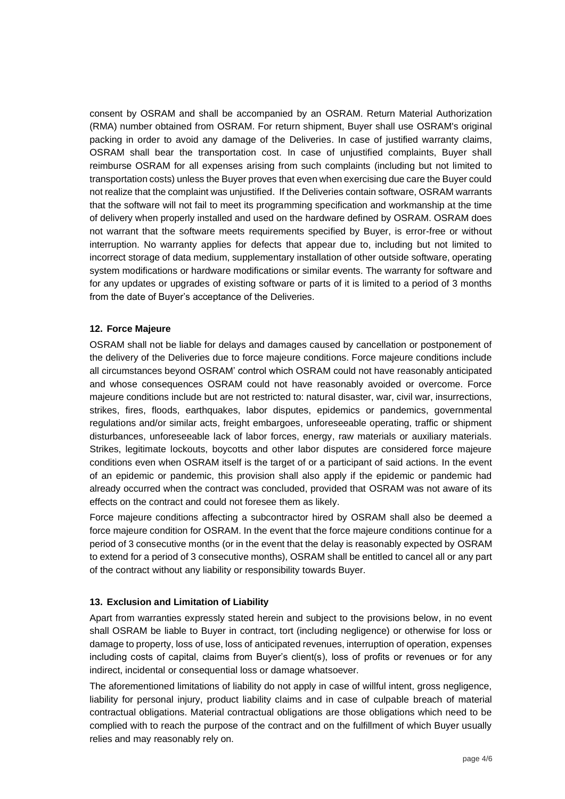consent by OSRAM and shall be accompanied by an OSRAM. Return Material Authorization (RMA) number obtained from OSRAM. For return shipment, Buyer shall use OSRAM's original packing in order to avoid any damage of the Deliveries. In case of justified warranty claims, OSRAM shall bear the transportation cost. In case of unjustified complaints, Buyer shall reimburse OSRAM for all expenses arising from such complaints (including but not limited to transportation costs) unless the Buyer proves that even when exercising due care the Buyer could not realize that the complaint was unjustified. If the Deliveries contain software, OSRAM warrants that the software will not fail to meet its programming specification and workmanship at the time of delivery when properly installed and used on the hardware defined by OSRAM. OSRAM does not warrant that the software meets requirements specified by Buyer, is error-free or without interruption. No warranty applies for defects that appear due to, including but not limited to incorrect storage of data medium, supplementary installation of other outside software, operating system modifications or hardware modifications or similar events. The warranty for software and for any updates or upgrades of existing software or parts of it is limited to a period of 3 months from the date of Buyer's acceptance of the Deliveries.

### **12. Force Majeure**

OSRAM shall not be liable for delays and damages caused by cancellation or postponement of the delivery of the Deliveries due to force majeure conditions. Force majeure conditions include all circumstances beyond OSRAM' control which OSRAM could not have reasonably anticipated and whose consequences OSRAM could not have reasonably avoided or overcome. Force majeure conditions include but are not restricted to: natural disaster, war, civil war, insurrections, strikes, fires, floods, earthquakes, labor disputes, epidemics or pandemics, governmental regulations and/or similar acts, freight embargoes, unforeseeable operating, traffic or shipment disturbances, unforeseeable lack of labor forces, energy, raw materials or auxiliary materials. Strikes, legitimate lockouts, boycotts and other labor disputes are considered force majeure conditions even when OSRAM itself is the target of or a participant of said actions. In the event of an epidemic or pandemic, this provision shall also apply if the epidemic or pandemic had already occurred when the contract was concluded, provided that OSRAM was not aware of its effects on the contract and could not foresee them as likely.

Force majeure conditions affecting a subcontractor hired by OSRAM shall also be deemed a force majeure condition for OSRAM. In the event that the force majeure conditions continue for a period of 3 consecutive months (or in the event that the delay is reasonably expected by OSRAM to extend for a period of 3 consecutive months), OSRAM shall be entitled to cancel all or any part of the contract without any liability or responsibility towards Buyer.

### **13. Exclusion and Limitation of Liability**

Apart from warranties expressly stated herein and subject to the provisions below, in no event shall OSRAM be liable to Buyer in contract, tort (including negligence) or otherwise for loss or damage to property, loss of use, loss of anticipated revenues, interruption of operation, expenses including costs of capital, claims from Buyer's client(s), loss of profits or revenues or for any indirect, incidental or consequential loss or damage whatsoever.

The aforementioned limitations of liability do not apply in case of willful intent, gross negligence, liability for personal injury, product liability claims and in case of culpable breach of material contractual obligations. Material contractual obligations are those obligations which need to be complied with to reach the purpose of the contract and on the fulfillment of which Buyer usually relies and may reasonably rely on.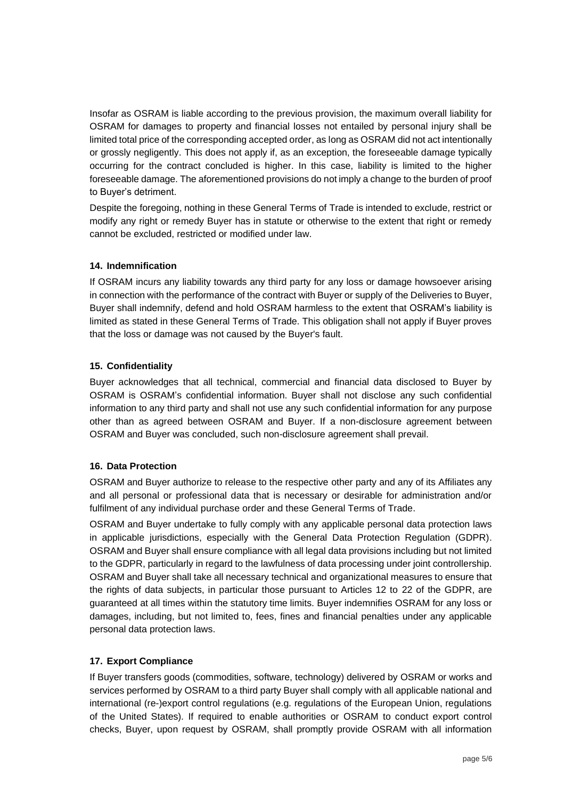Insofar as OSRAM is liable according to the previous provision, the maximum overall liability for OSRAM for damages to property and financial losses not entailed by personal injury shall be limited total price of the corresponding accepted order, as long as OSRAM did not act intentionally or grossly negligently. This does not apply if, as an exception, the foreseeable damage typically occurring for the contract concluded is higher. In this case, liability is limited to the higher foreseeable damage. The aforementioned provisions do not imply a change to the burden of proof to Buyer's detriment.

Despite the foregoing, nothing in these General Terms of Trade is intended to exclude, restrict or modify any right or remedy Buyer has in statute or otherwise to the extent that right or remedy cannot be excluded, restricted or modified under law.

### **14. Indemnification**

If OSRAM incurs any liability towards any third party for any loss or damage howsoever arising in connection with the performance of the contract with Buyer or supply of the Deliveries to Buyer, Buyer shall indemnify, defend and hold OSRAM harmless to the extent that OSRAM's liability is limited as stated in these General Terms of Trade. This obligation shall not apply if Buyer proves that the loss or damage was not caused by the Buyer's fault.

### **15. Confidentiality**

Buyer acknowledges that all technical, commercial and financial data disclosed to Buyer by OSRAM is OSRAM's confidential information. Buyer shall not disclose any such confidential information to any third party and shall not use any such confidential information for any purpose other than as agreed between OSRAM and Buyer. If a non-disclosure agreement between OSRAM and Buyer was concluded, such non-disclosure agreement shall prevail.

# **16. Data Protection**

OSRAM and Buyer authorize to release to the respective other party and any of its Affiliates any and all personal or professional data that is necessary or desirable for administration and/or fulfilment of any individual purchase order and these General Terms of Trade.

OSRAM and Buyer undertake to fully comply with any applicable personal data protection laws in applicable jurisdictions, especially with the General Data Protection Regulation (GDPR). OSRAM and Buyer shall ensure compliance with all legal data provisions including but not limited to the GDPR, particularly in regard to the lawfulness of data processing under joint controllership. OSRAM and Buyer shall take all necessary technical and organizational measures to ensure that the rights of data subjects, in particular those pursuant to Articles 12 to 22 of the GDPR, are guaranteed at all times within the statutory time limits. Buyer indemnifies OSRAM for any loss or damages, including, but not limited to, fees, fines and financial penalties under any applicable personal data protection laws.

# **17. Export Compliance**

If Buyer transfers goods (commodities, software, technology) delivered by OSRAM or works and services performed by OSRAM to a third party Buyer shall comply with all applicable national and international (re-)export control regulations (e.g. regulations of the European Union, regulations of the United States). If required to enable authorities or OSRAM to conduct export control checks, Buyer, upon request by OSRAM, shall promptly provide OSRAM with all information